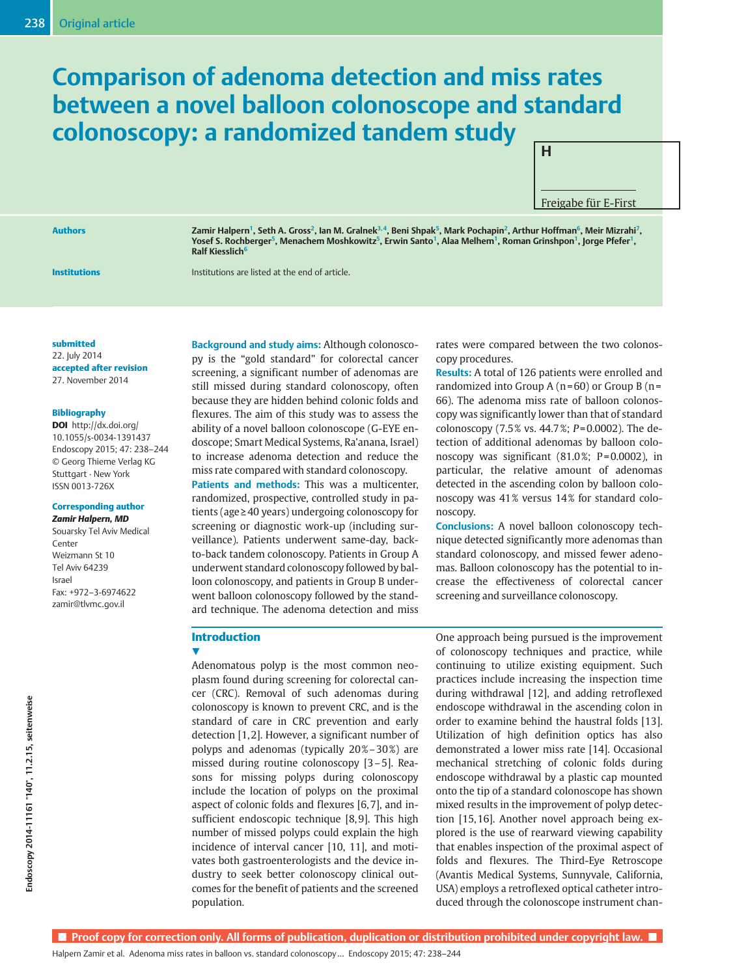# Comparison of adenoma detection and miss rates between a novel balloon colonoscope and standard colonoscopy: a randomized tandem study H

Freigabe für E-First

Authors **Zamir Halpern<sup>1</sup>, Seth A. Gross<sup>2</sup>, Ian M. Gralnek<sup>3, 4</sup>, Beni Shpak<sup>5</sup>, Mark Pochapin<sup>2</sup>, Arthur Hoffman<sup>6</sup>, Meir Mizrahi<sup>7</sup>,** Yosef S. Rochberger<sup>5</sup>, Menachem Moshkowitz<sup>5</sup>, Erwin Santo<sup>1</sup>, Alaa Melhem<sup>1</sup>, Roman Grinshpon<sup>1</sup>, Jorge Pfefer<sup>1</sup>,  $R$ alf Kiesslich $^6$ 

**Institutions Institutions** are listed at the end of article.

### submitted

22. July 2014 accepted after revision 27. November 2014

### Bibliography

DOI http://dx.doi.org/ 10.1055/s-0034-1391437 Endoscopy 2015; 47: 238–244 © Georg Thieme Verlag KG Stuttgart · New York ISSN 0013-726X

### Corresponding author

Zamir Halpern, MD Souarsky Tel Aviv Medical Center Weizmann St 10 Tel Aviv 64239 Israel Fax: +972–3-6974622 zamir@tlvmc.gov.il

Background and study aims: Although colonoscopy is the "gold standard" for colorectal cancer screening, a significant number of adenomas are still missed during standard colonoscopy, often because they are hidden behind colonic folds and flexures. The aim of this study was to assess the ability of a novel balloon colonoscope (G-EYE endoscope; Smart Medical Systems, Ra'anana, Israel) to increase adenoma detection and reduce the miss rate compared with standard colonoscopy.

Patients and methods: This was a multicenter, randomized, prospective, controlled study in patients (age≥40 years) undergoing colonoscopy for screening or diagnostic work-up (including surveillance). Patients underwent same-day, backto-back tandem colonoscopy. Patients in Group A underwent standard colonoscopy followed by balloon colonoscopy, and patients in Group B underwent balloon colonoscopy followed by the standard technique. The adenoma detection and miss

rates were compared between the two colonoscopy procedures.

Results: A total of 126 patients were enrolled and randomized into Group A ( $n = 60$ ) or Group B ( $n =$ 66). The adenoma miss rate of balloon colonoscopy was significantly lower than that of standard colonoscopy (7.5% vs. 44.7%;  $P=0.0002$ ). The detection of additional adenomas by balloon colonoscopy was significant  $(81.0\%; P=0.0002)$ , in particular, the relative amount of adenomas detected in the ascending colon by balloon colonoscopy was 41% versus 14% for standard colonoscopy.

Conclusions: A novel balloon colonoscopy technique detected significantly more adenomas than standard colonoscopy, and missed fewer adenomas. Balloon colonoscopy has the potential to increase the effectiveness of colorectal cancer screening and surveillance colonoscopy.

### Introduction

 $\blacktriangledown$ 

Adenomatous polyp is the most common neoplasm found during screening for colorectal cancer (CRC). Removal of such adenomas during colonoscopy is known to prevent CRC, and is the standard of care in CRC prevention and early detection [1, 2]. However, a significant number of polyps and adenomas (typically  $20\% - 30\%$ ) are missed during routine colonoscopy [3–5]. Reasons for missing polyps during colonoscopy include the location of polyps on the proximal aspect of colonic folds and flexures [6, 7], and insufficient endoscopic technique [8, 9]. This high number of missed polyps could explain the high incidence of interval cancer [10, 11], and motivates both gastroenterologists and the device industry to seek better colonoscopy clinical outcomes for the benefit of patients and the screened population.

One approach being pursued is the improvement of colonoscopy techniques and practice, while continuing to utilize existing equipment. Such practices include increasing the inspection time during withdrawal [12], and adding retroflexed endoscope withdrawal in the ascending colon in order to examine behind the haustral folds [13]. Utilization of high definition optics has also demonstrated a lower miss rate [14]. Occasional mechanical stretching of colonic folds during endoscope withdrawal by a plastic cap mounted onto the tip of a standard colonoscope has shown mixed results in the improvement of polyp detection [15, 16]. Another novel approach being explored is the use of rearward viewing capability that enables inspection of the proximal aspect of folds and flexures. The Third-Eye Retroscope (Avantis Medical Systems, Sunnyvale, California, USA) employs a retroflexed optical catheter introduced through the colonoscope instrument chan-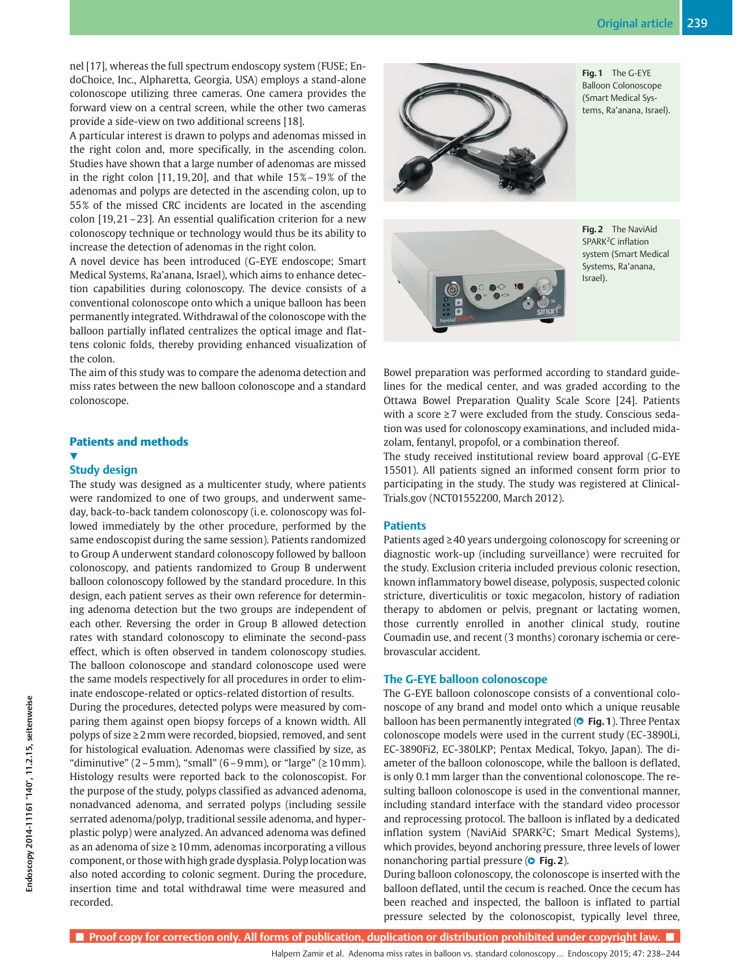nel [17], whereas the full spectrum endoscopy system (FUSE; EndoChoice, Inc., Alpharetta, Georgia, USA) employs a stand-alone colonoscope utilizing three cameras. One camera provides the forward view on a central screen, while the other two cameras provide a side-view on two additional screens [18].

A particular interest is drawn to polyps and adenomas missed in the right colon and, more specifically, in the ascending colon. Studies have shown that a large number of adenomas are missed in the right colon  $[11, 19, 20]$ , and that while  $15\% - 19\%$  of the adenomas and polyps are detected in the ascending colon, up to 55 % of the missed CRC incidents are located in the ascending colon [19,21-23]. An essential qualification criterion for a new colonoscopy technique or technology would thus be its ability to increase the detection of adenomas in the right colon.

A novel device has been introduced (G-EYE endoscope; Smart Medical Systems, Ra'anana, Israel), which aims to enhance detection capabilities during colonoscopy. The device consists of a conventional colonoscope onto which a unique balloon has been permanently integrated. Withdrawal of the colonoscope with the balloon partially inflated centralizes the optical image and flattens colonic folds, thereby providing enhanced visualization of the colon.

The aim of this study was to compare the adenoma detection and miss rates between the new balloon colonoscope and a standard colonoscope.

# Patients and methods

### V,

# Study design

The study was designed as a multicenter study, where patients were randomized to one of two groups, and underwent sameday, back-to-back tandem colonoscopy (i. e. colonoscopy was followed immediately by the other procedure, performed by the same endoscopist during the same session). Patients randomized to Group A underwent standard colonoscopy followed by balloon colonoscopy, and patients randomized to Group B underwent balloon colonoscopy followed by the standard procedure. In this design, each patient serves as their own reference for determining adenoma detection but the two groups are independent of each other. Reversing the order in Group B allowed detection rates with standard colonoscopy to eliminate the second-pass effect, which is often observed in tandem colonoscopy studies. The balloon colonoscope and standard colonoscope used were the same models respectively for all procedures in order to eliminate endoscope-related or optics-related distortion of results.

During the procedures, detected polyps were measured by comparing them against open biopsy forceps of a known width. All polyps of size ≥2mm were recorded, biopsied, removed, and sent for histological evaluation. Adenomas were classified by size, as "diminutive"  $(2-5$ mm), "small"  $(6-9$ mm), or "large"  $(210$ mm). Histology results were reported back to the colonoscopist. For the purpose of the study, polyps classified as advanced adenoma, nonadvanced adenoma, and serrated polyps (including sessile serrated adenoma/polyp, traditional sessile adenoma, and hyperplastic polyp) were analyzed. An advanced adenoma was defined as an adenoma of size ≥10mm, adenomas incorporating a villous component, or those with high grade dysplasia. Polyplocationwas also noted according to colonic segment. During the procedure, insertion time and total withdrawal time were measured and recorded.



Fig. 1 The G-EYE Balloon Colonoscope (Smart Medical Systems, Ra'anana, Israel).



Fig. 2 The NaviAid SPARK<sup>2</sup>C inflation system (Smart Medical Systems, Ra'anana, Israel).

Bowel preparation was performed according to standard guidelines for the medical center, and was graded according to the Ottawa Bowel Preparation Quality Scale Score [24]. Patients with a score ≥7 were excluded from the study. Conscious sedation was used for colonoscopy examinations, and included midazolam, fentanyl, propofol, or a combination thereof.

The study received institutional review board approval (G-EYE 15501). All patients signed an informed consent form prior to participating in the study. The study was registered at Clinical-Trials.gov (NCT01552200, March 2012).

### **Patients**

Patients aged ≥40 years undergoing colonoscopy for screening or diagnostic work-up (including surveillance) were recruited for the study. Exclusion criteria included previous colonic resection, known inflammatory bowel disease, polyposis, suspected colonic stricture, diverticulitis or toxic megacolon, history of radiation therapy to abdomen or pelvis, pregnant or lactating women, those currently enrolled in another clinical study, routine Coumadin use, and recent (3 months) coronary ischemia or cerebrovascular accident.

## The G-EYE balloon colonoscope

The G-EYE balloon colonoscope consists of a conventional colonoscope of any brand and model onto which a unique reusable balloon has been permanently integrated (**O Fig. 1**). Three Pentax colonoscope models were used in the current study (EC-3890Li, EC-3890Fi2, EC-380LKP; Pentax Medical, Tokyo, Japan). The diameter of the balloon colonoscope, while the balloon is deflated, is only 0.1mm larger than the conventional colonoscope. The resulting balloon colonoscope is used in the conventional manner, including standard interface with the standard video processor and reprocessing protocol. The balloon is inflated by a dedicated inflation system (NaviAid SPARK<sup>2</sup>C; Smart Medical Systems), which provides, beyond anchoring pressure, three levels of lower nonanchoring partial pressure (**O** Fig. 2).

During balloon colonoscopy, the colonoscope is inserted with the balloon deflated, until the cecum is reached. Once the cecum has been reached and inspected, the balloon is inflated to partial pressure selected by the colonoscopist, typically level three,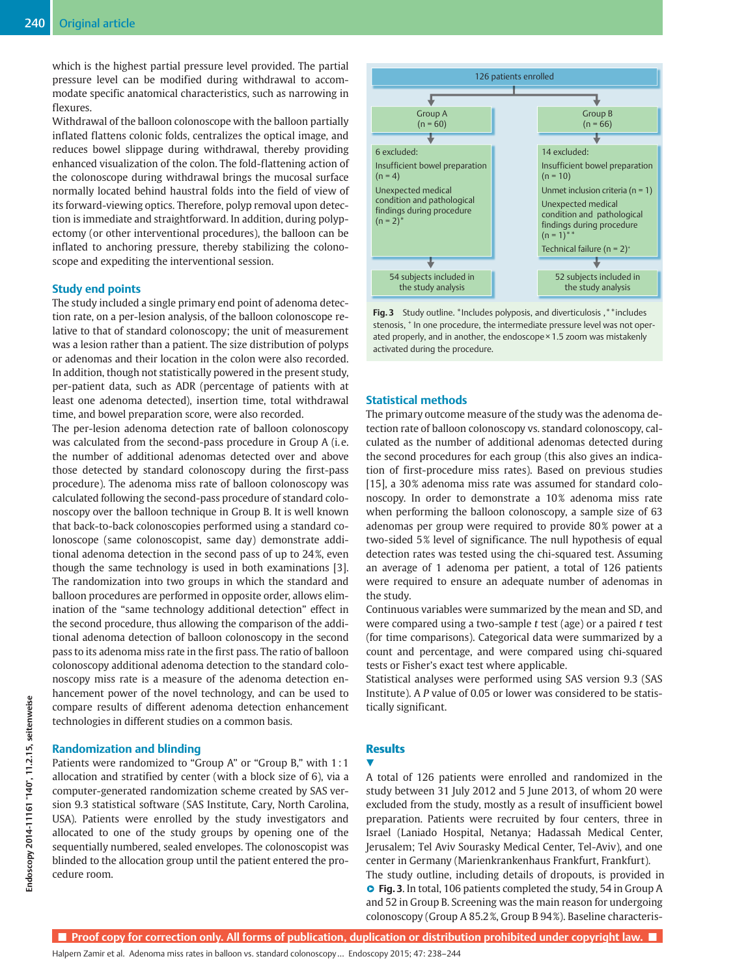which is the highest partial pressure level provided. The partial pressure level can be modified during withdrawal to accommodate specific anatomical characteristics, such as narrowing in flexures.

Withdrawal of the balloon colonoscope with the balloon partially inflated flattens colonic folds, centralizes the optical image, and reduces bowel slippage during withdrawal, thereby providing enhanced visualization of the colon. The fold-flattening action of the colonoscope during withdrawal brings the mucosal surface normally located behind haustral folds into the field of view of its forward-viewing optics. Therefore, polyp removal upon detection is immediate and straightforward. In addition, during polypectomy (or other interventional procedures), the balloon can be inflated to anchoring pressure, thereby stabilizing the colonoscope and expediting the interventional session.

# Study end points

The study included a single primary end point of adenoma detection rate, on a per-lesion analysis, of the balloon colonoscope relative to that of standard colonoscopy; the unit of measurement was a lesion rather than a patient. The size distribution of polyps or adenomas and their location in the colon were also recorded. In addition, though not statistically powered in the present study, per-patient data, such as ADR (percentage of patients with at least one adenoma detected), insertion time, total withdrawal time, and bowel preparation score, were also recorded.

The per-lesion adenoma detection rate of balloon colonoscopy was calculated from the second-pass procedure in Group A (i. e. the number of additional adenomas detected over and above those detected by standard colonoscopy during the first-pass procedure). The adenoma miss rate of balloon colonoscopy was calculated following the second-pass procedure of standard colonoscopy over the balloon technique in Group B. It is well known that back-to-back colonoscopies performed using a standard colonoscope (same colonoscopist, same day) demonstrate additional adenoma detection in the second pass of up to 24 %, even though the same technology is used in both examinations [3]. The randomization into two groups in which the standard and balloon procedures are performed in opposite order, allows elimination of the "same technology additional detection" effect in the second procedure, thus allowing the comparison of the additional adenoma detection of balloon colonoscopy in the second pass to its adenoma miss rate in the first pass. The ratio of balloon colonoscopy additional adenoma detection to the standard colonoscopy miss rate is a measure of the adenoma detection enhancement power of the novel technology, and can be used to compare results of different adenoma detection enhancement technologies in different studies on a common basis.

# Randomization and blinding

Patients were randomized to "Group A" or "Group B," with 1 : 1 allocation and stratified by center (with a block size of 6), via a computer-generated randomization scheme created by SAS version 9.3 statistical software (SAS Institute, Cary, North Carolina, USA). Patients were enrolled by the study investigators and allocated to one of the study groups by opening one of the sequentially numbered, sealed envelopes. The colonoscopist was blinded to the allocation group until the patient entered the procedure room.



Fig. 3 Study outline. \*Includes polyposis, and diverticulosis, \*\*includes stenosis, <sup>+</sup> In one procedure, the intermediate pressure level was not operated properly, and in another, the endoscope × 1.5 zoom was mistakenly activated during the procedure.

### Statistical methods

The primary outcome measure of the study was the adenoma detection rate of balloon colonoscopy vs. standard colonoscopy, calculated as the number of additional adenomas detected during the second procedures for each group (this also gives an indication of first-procedure miss rates). Based on previous studies [15], a 30% adenoma miss rate was assumed for standard colonoscopy. In order to demonstrate a 10% adenoma miss rate when performing the balloon colonoscopy, a sample size of 63 adenomas per group were required to provide 80% power at a two-sided 5% level of significance. The null hypothesis of equal detection rates was tested using the chi-squared test. Assuming an average of 1 adenoma per patient, a total of 126 patients were required to ensure an adequate number of adenomas in the study.

Continuous variables were summarized by the mean and SD, and were compared using a two-sample  $t$  test (age) or a paired  $t$  test (for time comparisons). Categorical data were summarized by a count and percentage, and were compared using chi-squared tests or Fisher's exact test where applicable.

Statistical analyses were performed using SAS version 9.3 (SAS Institute). A P value of 0.05 or lower was considered to be statistically significant.

# **Results**

 $\blacktriangledown$ 

A total of 126 patients were enrolled and randomized in the study between 31 July 2012 and 5 June 2013, of whom 20 were excluded from the study, mostly as a result of insufficient bowel preparation. Patients were recruited by four centers, three in Israel (Laniado Hospital, Netanya; Hadassah Medical Center, Jerusalem; Tel Aviv Sourasky Medical Center, Tel-Aviv), and one center in Germany (Marienkrankenhaus Frankfurt, Frankfurt).

The study outline, including details of dropouts, is provided in **• Fig. 3**. In total, 106 patients completed the study, 54 in Group A and 52 in Group B. Screening was the main reason for undergoing colonoscopy (Group A 85.2 %, Group B 94 %). Baseline characteris-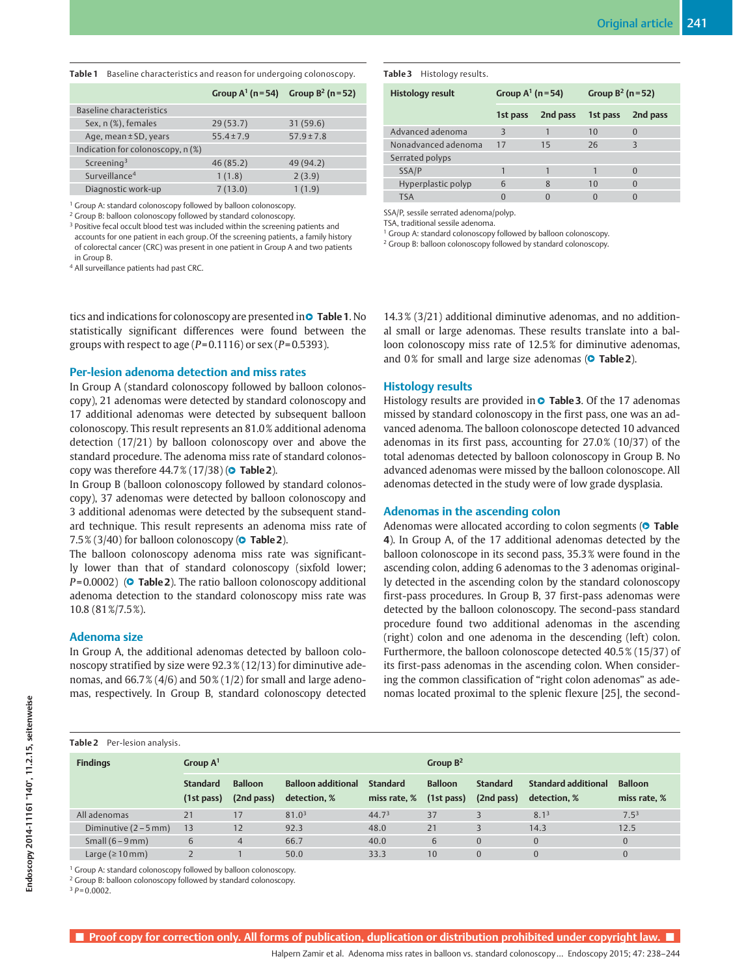|  | Table 1 Baseline characteristics and reason for undergoing colonoscopy. |
|--|-------------------------------------------------------------------------|
|--|-------------------------------------------------------------------------|

|                                  | Group $A^1$ (n = 54) Group $B^2$ (n = 52) |                |
|----------------------------------|-------------------------------------------|----------------|
| Baseline characteristics         |                                           |                |
| Sex, n (%), females              | 29(53.7)                                  | 31(59.6)       |
| Age, mean $\pm$ SD, years        | $55.4 \pm 7.9$                            | $57.9 \pm 7.8$ |
| Indication for colonoscopy, n(%) |                                           |                |
| Screening <sup>3</sup>           | 46(85.2)                                  | 49 (94.2)      |
| Surveillance <sup>4</sup>        | 1(1.8)                                    | 2(3.9)         |
| Diagnostic work-up               | 7(13.0)                                   | 1(1.9)         |

<sup>1</sup> Group A: standard colonoscopy followed by balloon colonoscopy.

<sup>2</sup> Group B: balloon colonoscopy followed by standard colonoscopy.

<sup>3</sup> Positive fecal occult blood test was included within the screening patients and accounts for one patient in each group.Of the screening patients, a family history of colorectal cancer (CRC) was present in one patient in Group A and two patients in Group B.

<sup>4</sup> All surveillance patients had past CRC.

tics and indications for colonoscopy are presented in��� **Table 1.** No statistically significant differences were found between the groups with respect to age  $(P= 0.1116)$  or sex  $(P= 0.5393)$ .

### Per-lesion adenoma detection and miss rates

In Group A (standard colonoscopy followed by balloon colonoscopy), 21 adenomas were detected by standard colonoscopy and 17 additional adenomas were detected by subsequent balloon colonoscopy. This result represents an 81.0 % additional adenoma detection (17/21) by balloon colonoscopy over and above the standard procedure. The adenoma miss rate of standard colonoscopy was therefore 44.7% (17/38) ( $\bullet$  **Table 2**).

In Group B (balloon colonoscopy followed by standard colonoscopy), 37 adenomas were detected by balloon colonoscopy and 3 additional adenomas were detected by the subsequent standard technique. This result represents an adenoma miss rate of  $7.5\%$  (3/40) for balloon colonoscopy ( $\bullet$  Table 2).

The balloon colonoscopy adenoma miss rate was significantly lower than that of standard colonoscopy (sixfold lower; P=0.0002) (O Table 2). The ratio balloon colonoscopy additional adenoma detection to the standard colonoscopy miss rate was 10.8 (81 %/7.5 %).

### Adenoma size

In Group A, the additional adenomas detected by balloon colonoscopy stratified by size were 92.3 % (12/13) for diminutive adenomas, and  $66.7\%$  (4/6) and  $50\%$  (1/2) for small and large adenomas, respectively. In Group B, standard colonoscopy detected Table 3 Histology results.

| <b>Histology result</b> | Group $A^1$ (n=54)      |          | Group $B^2$ (n = 52) |          |
|-------------------------|-------------------------|----------|----------------------|----------|
|                         | 1st pass                | 2nd pass | 1st pass             | 2nd pass |
| Advanced adenoma        | $\overline{\mathbf{3}}$ |          | 10                   |          |
| Nonadvanced adenoma     | 17                      | 15       | 26                   |          |
| Serrated polyps         |                         |          |                      |          |
| SSA/P                   |                         |          |                      |          |
| Hyperplastic polyp      | 6                       | 8        | 10                   |          |
| TSA                     | 0                       |          |                      |          |

SSA/P, sessile serrated adenoma/polyp.

TSA, traditional sessile adenoma.

<sup>1</sup> Group A: standard colonoscopy followed by balloon colonoscopy.

<sup>2</sup> Group B: balloon colonoscopy followed by standard colonoscopy.

14.3 % (3/21) additional diminutive adenomas, and no additional small or large adenomas. These results translate into a balloon colonoscopy miss rate of 12.5 % for diminutive adenomas, and  $0\%$  for small and large size adenomas ( $\circ$  Table 2).

### Histology results

Histology results are provided in **O** Table 3. Of the 17 adenomas missed by standard colonoscopy in the first pass, one was an advanced adenoma. The balloon colonoscope detected 10 advanced adenomas in its first pass, accounting for 27.0 % (10/37) of the total adenomas detected by balloon colonoscopy in Group B. No advanced adenomas were missed by the balloon colonoscope. All adenomas detected in the study were of low grade dysplasia.

### Adenomas in the ascending colon

Adenomas were allocated according to colon segments (**O** Table 4). In Group A, of the 17 additional adenomas detected by the balloon colonoscope in its second pass, 35.3 % were found in the ascending colon, adding 6 adenomas to the 3 adenomas originally detected in the ascending colon by the standard colonoscopy first-pass procedures. In Group B, 37 first-pass adenomas were detected by the balloon colonoscopy. The second-pass standard procedure found two additional adenomas in the ascending (right) colon and one adenoma in the descending (left) colon. Furthermore, the balloon colonoscope detected 40.5 % (15/37) of its first-pass adenomas in the ascending colon. When considering the common classification of "right colon adenomas" as adenomas located proximal to the splenic flexure [25], the second-

| Table 2 | Per-lesion analysis. |  |
|---------|----------------------|--|
|---------|----------------------|--|

| <b>Findings</b>         | Group $A^1$                   |                              |                                           |                                 | Group $B^2$                  |                               |                                            |                                |
|-------------------------|-------------------------------|------------------------------|-------------------------------------------|---------------------------------|------------------------------|-------------------------------|--------------------------------------------|--------------------------------|
|                         | <b>Standard</b><br>(1st pass) | <b>Balloon</b><br>(2nd pass) | <b>Balloon additional</b><br>detection, % | <b>Standard</b><br>miss rate, % | <b>Balloon</b><br>(1st pass) | <b>Standard</b><br>(2nd pass) | <b>Standard additional</b><br>detection, % | <b>Balloon</b><br>miss rate, % |
| All adenomas            | 21                            | 17                           | $81.0^{3}$                                | 44.7 <sup>3</sup>               | 37                           |                               | $8.1^3$                                    | $7.5^3$                        |
| Diminutive $(2 - 5$ mm) | 13                            | 12                           | 92.3                                      | 48.0                            | 21                           |                               | 14.3                                       | 12.5                           |
| Small $(6 - 9$ mm)      | 6                             | 4                            | 66.7                                      | 40.0                            | 6                            | $\overline{0}$                | 0                                          | 0                              |
| Large ( $\geq 10$ mm)   |                               |                              | 50.0                                      | 33.3                            | 10                           | 0                             | 0                                          |                                |

<sup>1</sup> Group A: standard colonoscopy followed by balloon colonoscopy.

<sup>2</sup> Group B: balloon colonoscopy followed by standard colonoscopy.

 $3 p= 0.0002$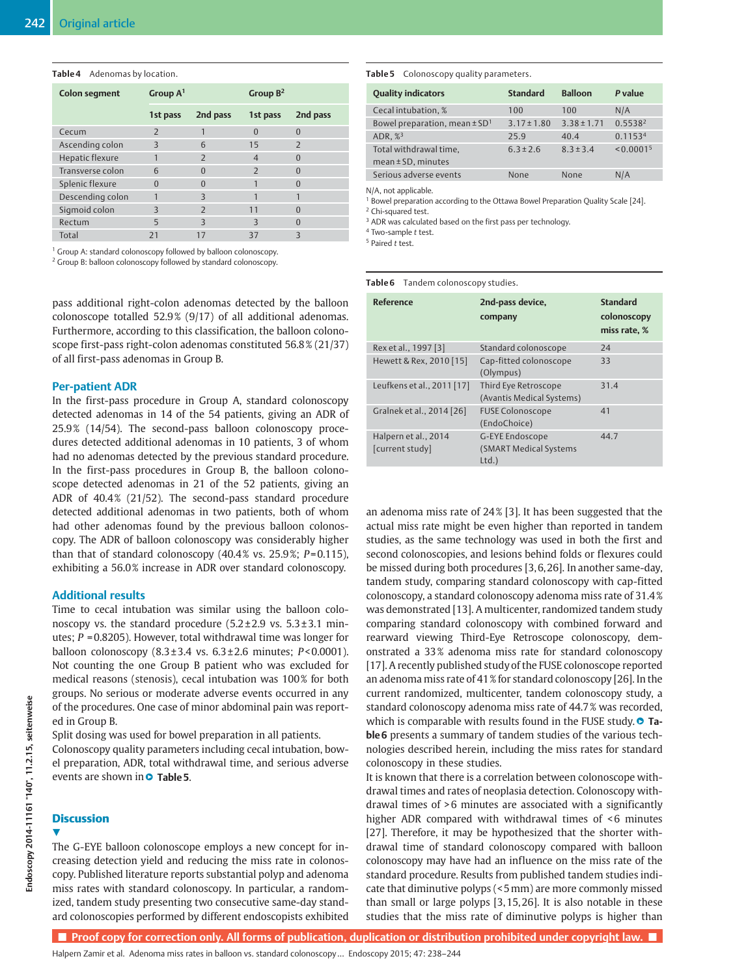#### Table 4 Adenomas by location.

| <b>Colon segment</b> | Group $A^1$             |                          |                          | Group $B^2$    |  |
|----------------------|-------------------------|--------------------------|--------------------------|----------------|--|
|                      | 1st pass                | 2nd pass                 | 1st pass                 | 2nd pass       |  |
| Cecum                | $\overline{z}$          |                          | O                        | $\Omega$       |  |
| Ascending colon      | 3                       | 6                        | 15                       | $\overline{z}$ |  |
| Hepatic flexure      |                         | $\overline{\phantom{0}}$ | $\overline{A}$           | $\Omega$       |  |
| Transverse colon     | 6                       | 0                        | $\overline{\phantom{0}}$ | $\Omega$       |  |
| Splenic flexure      | $\Omega$                | 0                        |                          | $\Omega$       |  |
| Descending colon     |                         | $\overline{\mathcal{E}}$ |                          |                |  |
| Sigmoid colon        | $\overline{\mathbf{3}}$ | $\overline{\phantom{0}}$ | 11                       | $\Omega$       |  |
| Rectum               | 5                       | $\overline{\mathcal{E}}$ | $\overline{\mathcal{L}}$ | $\Omega$       |  |
| Total                | 21                      |                          | 37                       |                |  |

<sup>1</sup> Group A: standard colonoscopy followed by balloon colonoscopy.

<sup>2</sup> Group B: balloon colonoscopy followed by standard colonoscopy.

pass additional right-colon adenomas detected by the balloon colonoscope totalled 52.9%  $(9/17)$  of all additional adenomas. Furthermore, according to this classification, the balloon colonoscope first-pass right-colon adenomas constituted 56.8 % (21/37) of all first-pass adenomas in Group B.

### Per-patient ADR

In the first-pass procedure in Group A, standard colonoscopy detected adenomas in 14 of the 54 patients, giving an ADR of 25.9 % (14/54). The second-pass balloon colonoscopy procedures detected additional adenomas in 10 patients, 3 of whom had no adenomas detected by the previous standard procedure. In the first-pass procedures in Group B, the balloon colonoscope detected adenomas in 21 of the 52 patients, giving an ADR of 40.4% (21/52). The second-pass standard procedure detected additional adenomas in two patients, both of whom had other adenomas found by the previous balloon colonoscopy. The ADR of balloon colonoscopy was considerably higher than that of standard colonoscopy (40.4% vs. 25.9%;  $P=0.115$ ), exhibiting a 56.0% increase in ADR over standard colonoscopy.

### Additional results

Time to cecal intubation was similar using the balloon colonoscopy vs. the standard procedure  $(5.2 \pm 2.9 \text{ vs. } 5.3 \pm 3.1 \text{ min}$ utes;  $P = 0.8205$ ). However, total withdrawal time was longer for balloon colonoscopy  $(8.3 \pm 3.4 \text{ vs. } 6.3 \pm 2.6 \text{ minutes}; P < 0.0001)$ . Not counting the one Group B patient who was excluded for medical reasons (stenosis), cecal intubation was 100% for both groups. No serious or moderate adverse events occurred in any of the procedures. One case of minor abdominal pain was reported in Group B.

Split dosing was used for bowel preparation in all patients.

Colonoscopy quality parameters including cecal intubation, bowel preparation, ADR, total withdrawal time, and serious adverse events are shown in **© Table 5**.

## **Discussion**

The G-EYE balloon colonoscope employs a new concept for increasing detection yield and reducing the miss rate in colonoscopy. Published literature reports substantial polyp and adenoma miss rates with standard colonoscopy. In particular, a randomized, tandem study presenting two consecutive same-day standard colonoscopies performed by different endoscopists exhibited

| Table 5 Colonoscopy quality parameters.                                                          |                 |                |         |  |  |
|--------------------------------------------------------------------------------------------------|-----------------|----------------|---------|--|--|
| <b>Quality indicators</b>                                                                        | <b>Standard</b> | <b>Balloon</b> | P value |  |  |
| Cecal intubation, %                                                                              | 100             | 100            | N/A     |  |  |
| 0.55382<br>Bowel preparation, mean $\pm$ SD <sup>1</sup><br>$3.38 \pm 1.71$<br>$3.17 \pm 1.80$   |                 |                |         |  |  |
| ADR, $\%$ <sup>3</sup>                                                                           | 25.9            | 40.4           | 0.11534 |  |  |
| < 0.00015<br>Total withdrawal time,<br>$6.3 \pm 2.6$<br>$8.3 \pm 3.4$<br>$mean \pm SD$ , minutes |                 |                |         |  |  |
| Serious adverse events                                                                           | None            | None           | N/A     |  |  |

N/A, not applicable.

<sup>1</sup> Bowel preparation according to the Ottawa Bowel Preparation Quality Scale [24].

<sup>2</sup> Chi-squared test.

<sup>3</sup> ADR was calculated based on the first pass per technology.

<sup>4</sup> Two-sample t test.

<sup>5</sup> Paired t test.

#### Table 6 Tandem colonoscopy studies.

| <b>Reference</b>                        | 2nd-pass device,<br>company                                   | <b>Standard</b><br>colonoscopy<br>miss rate, % |
|-----------------------------------------|---------------------------------------------------------------|------------------------------------------------|
| Rex et al., 1997 [3]                    | Standard colonoscope                                          | 24                                             |
| Hewett & Rex, 2010 [15]                 | Cap-fitted colonoscope<br>(Olympus)                           | 33                                             |
| Leufkens et al., 2011 [17]              | Third Eye Retroscope<br>(Avantis Medical Systems)             | 31.4                                           |
| Gralnek et al., 2014 [26]               | <b>FUSE Colonoscope</b><br>(EndoChoice)                       | 41                                             |
| Halpern et al., 2014<br>[current study] | <b>G-EYE Endoscope</b><br>(SMART Medical Systems)<br>$Ltd.$ ) | 44.7                                           |

an adenoma miss rate of  $24\%$  [3]. It has been suggested that the actual miss rate might be even higher than reported in tandem studies, as the same technology was used in both the first and second colonoscopies, and lesions behind folds or flexures could be missed during both procedures [3, 6, 26]. In another same-day, tandem study, comparing standard colonoscopy with cap-fitted colonoscopy, a standard colonoscopy adenoma miss rate of 31.4 % was demonstrated [13]. A multicenter, randomized tandem study comparing standard colonoscopy with combined forward and rearward viewing Third-Eye Retroscope colonoscopy, demonstrated a 33 % adenoma miss rate for standard colonoscopy [17]. A recently published study of the FUSE colonoscope reported an adenoma miss rate of 41 % for standard colonoscopy [26]. In the current randomized, multicenter, tandem colonoscopy study, a standard colonoscopy adenoma miss rate of 44.7 % was recorded, which is comparable with results found in the FUSE study. **O** Table 6 presents a summary of tandem studies of the various technologies described herein, including the miss rates for standard colonoscopy in these studies.

It is known that there is a correlation between colonoscope withdrawal times and rates of neoplasia detection. Colonoscopy withdrawal times of > 6 minutes are associated with a significantly higher ADR compared with withdrawal times of  $\leq$ 6 minutes [27]. Therefore, it may be hypothesized that the shorter withdrawal time of standard colonoscopy compared with balloon colonoscopy may have had an influence on the miss rate of the standard procedure. Results from published tandem studies indicate that diminutive polyps (< 5mm) are more commonly missed than small or large polyps [3, 15, 26]. It is also notable in these studies that the miss rate of diminutive polyps is higher than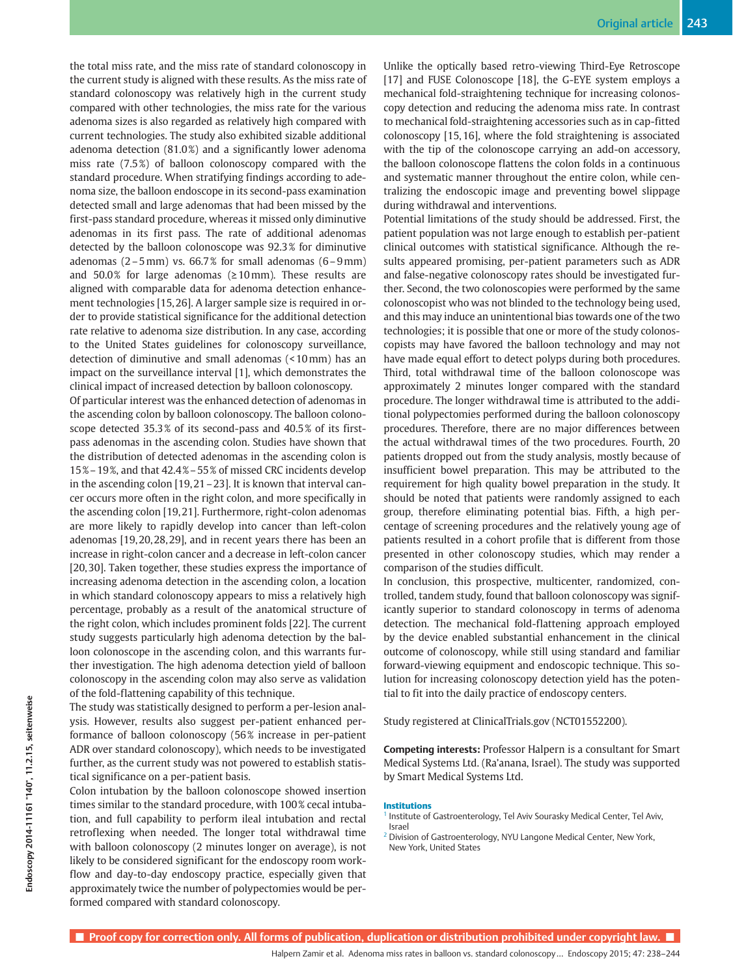the total miss rate, and the miss rate of standard colonoscopy in the current study is aligned with these results. As the miss rate of standard colonoscopy was relatively high in the current study compared with other technologies, the miss rate for the various adenoma sizes is also regarded as relatively high compared with current technologies. The study also exhibited sizable additional adenoma detection (81.0%) and a significantly lower adenoma miss rate (7.5 %) of balloon colonoscopy compared with the standard procedure. When stratifying findings according to adenoma size, the balloon endoscope in its second-pass examination detected small and large adenomas that had been missed by the first-pass standard procedure, whereas it missed only diminutive adenomas in its first pass. The rate of additional adenomas detected by the balloon colonoscope was 92.3 % for diminutive adenomas  $(2-5$ mm) vs. 66.7% for small adenomas  $(6-9$ mm) and 50.0% for large adenomas ( $\geq 10$ mm). These results are aligned with comparable data for adenoma detection enhancement technologies [15, 26]. A larger sample size is required in order to provide statistical significance for the additional detection rate relative to adenoma size distribution. In any case, according to the United States guidelines for colonoscopy surveillance, detection of diminutive and small adenomas (< 10mm) has an impact on the surveillance interval [1], which demonstrates the clinical impact of increased detection by balloon colonoscopy.

Of particular interest was the enhanced detection of adenomas in the ascending colon by balloon colonoscopy. The balloon colonoscope detected 35.3 % of its second-pass and 40.5 % of its firstpass adenomas in the ascending colon. Studies have shown that the distribution of detected adenomas in the ascending colon is 15 %–19 %, and that 42.4 %–55 % of missed CRC incidents develop in the ascending colon [19, 21–23]. It is known that interval cancer occurs more often in the right colon, and more specifically in the ascending colon [19, 21]. Furthermore, right-colon adenomas are more likely to rapidly develop into cancer than left-colon adenomas [19, 20, 28, 29], and in recent years there has been an increase in right-colon cancer and a decrease in left-colon cancer [20, 30]. Taken together, these studies express the importance of increasing adenoma detection in the ascending colon, a location in which standard colonoscopy appears to miss a relatively high percentage, probably as a result of the anatomical structure of the right colon, which includes prominent folds [22]. The current study suggests particularly high adenoma detection by the balloon colonoscope in the ascending colon, and this warrants further investigation. The high adenoma detection yield of balloon colonoscopy in the ascending colon may also serve as validation of the fold-flattening capability of this technique.

The study was statistically designed to perform a per-lesion analysis. However, results also suggest per-patient enhanced performance of balloon colonoscopy (56% increase in per-patient ADR over standard colonoscopy), which needs to be investigated further, as the current study was not powered to establish statistical significance on a per-patient basis.

Colon intubation by the balloon colonoscope showed insertion times similar to the standard procedure, with 100% cecal intubation, and full capability to perform ileal intubation and rectal retroflexing when needed. The longer total withdrawal time with balloon colonoscopy (2 minutes longer on average), is not likely to be considered significant for the endoscopy room workflow and day-to-day endoscopy practice, especially given that approximately twice the number of polypectomies would be performed compared with standard colonoscopy.

Unlike the optically based retro-viewing Third-Eye Retroscope [17] and FUSE Colonoscope [18], the G-EYE system employs a mechanical fold-straightening technique for increasing colonoscopy detection and reducing the adenoma miss rate. In contrast to mechanical fold-straightening accessories such as in cap-fitted colonoscopy [15, 16], where the fold straightening is associated with the tip of the colonoscope carrying an add-on accessory, the balloon colonoscope flattens the colon folds in a continuous and systematic manner throughout the entire colon, while centralizing the endoscopic image and preventing bowel slippage during withdrawal and interventions.

Potential limitations of the study should be addressed. First, the patient population was not large enough to establish per-patient clinical outcomes with statistical significance. Although the results appeared promising, per-patient parameters such as ADR and false-negative colonoscopy rates should be investigated further. Second, the two colonoscopies were performed by the same colonoscopist who was not blinded to the technology being used, and this may induce an unintentional bias towards one of the two technologies; it is possible that one or more of the study colonoscopists may have favored the balloon technology and may not have made equal effort to detect polyps during both procedures. Third, total withdrawal time of the balloon colonoscope was approximately 2 minutes longer compared with the standard procedure. The longer withdrawal time is attributed to the additional polypectomies performed during the balloon colonoscopy procedures. Therefore, there are no major differences between the actual withdrawal times of the two procedures. Fourth, 20 patients dropped out from the study analysis, mostly because of insufficient bowel preparation. This may be attributed to the requirement for high quality bowel preparation in the study. It should be noted that patients were randomly assigned to each group, therefore eliminating potential bias. Fifth, a high percentage of screening procedures and the relatively young age of patients resulted in a cohort profile that is different from those presented in other colonoscopy studies, which may render a comparison of the studies difficult.

In conclusion, this prospective, multicenter, randomized, controlled, tandem study, found that balloon colonoscopy was significantly superior to standard colonoscopy in terms of adenoma detection. The mechanical fold-flattening approach employed by the device enabled substantial enhancement in the clinical outcome of colonoscopy, while still using standard and familiar forward-viewing equipment and endoscopic technique. This solution for increasing colonoscopy detection yield has the potential to fit into the daily practice of endoscopy centers.

Study registered at ClinicalTrials.gov (NCT01552200).

Competing interests: Professor Halpern is a consultant for Smart Medical Systems Ltd. (Ra'anana, Israel). The study was supported by Smart Medical Systems Ltd.

#### Institutions

- <sup>1</sup> Institute of Gastroenterology, Tel Aviv Sourasky Medical Center, Tel Aviv, Israel
- <sup>2</sup> Division of Gastroenterology, NYU Langone Medical Center, New York, New York, United States